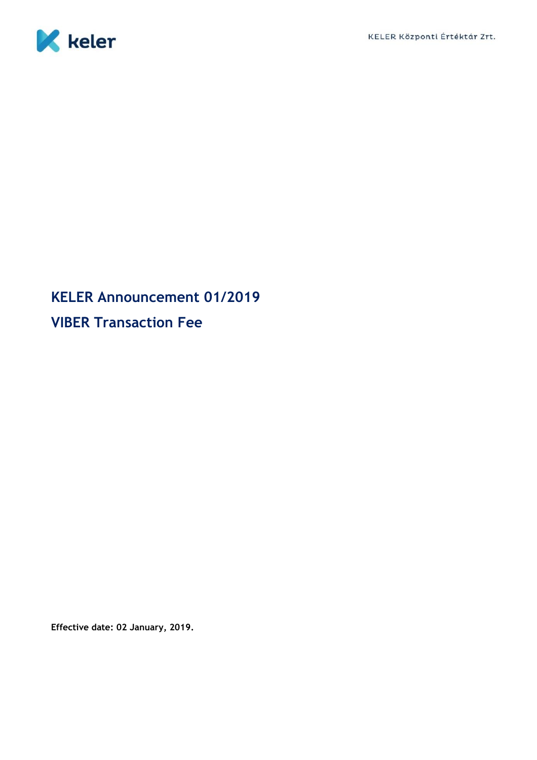

## **KELER Announcement 01/2019 VIBER Transaction Fee**

**Effective date: 02 January, 2019.**